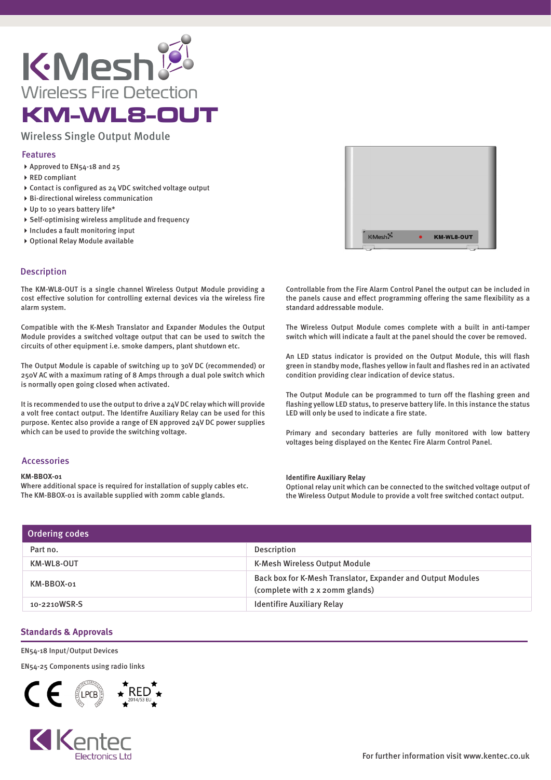

# Wireless Single Output Module

## Features

- ▶ Approved to EN54-18 and 25
- RED compliant
- Contact is configured as 24 VDC switched voltage output
- Bi-directional wireless communication
- ▶ Up to 10 years battery life\*
- Self-optimising wireless amplitude and frequency
- $\blacktriangleright$  Includes a fault monitoring input
- Optional Relay Module available

## Description

The KM-WL8-OUT is a single channel Wireless Output Module providing a cost effective solution for controlling external devices via the wireless fire alarm system.

Compatible with the K-Mesh Translator and Expander Modules the Output Module provides a switched voltage output that can be used to switch the circuits of other equipment i.e. smoke dampers, plant shutdown etc.

The Output Module is capable of switching up to 30V DC (recommended) or 250V AC with a maximum rating of 8 Amps through a dual pole switch which is normally open going closed when activated.

It is recommended to use the output to drive a 24V DC relay which will provide a volt free contact output. The Identifre Auxiliary Relay can be used for this purpose. Kentec also provide a range of EN approved 24V DC power supplies which can be used to provide the switching voltage.

## Accessories

### **KM-BBOX-01**

Where additional space is required for installation of supply cables etc. The KM-BBOX-01 is available supplied with 20mm cable glands.



Controllable from the Fire Alarm Control Panel the output can be included in the panels cause and effect programming offering the same flexibility as a standard addressable module.

The Wireless Output Module comes complete with a built in anti-tamper switch which will indicate a fault at the panel should the cover be removed.

An LED status indicator is provided on the Output Module, this will flash green in standby mode, flashes yellow in fault and flashes red in an activated condition providing clear indication of device status.

The Output Module can be programmed to turn off the flashing green and flashing yellow LED status, to preserve battery life. In this instance the status LED will only be used to indicate a fire state.

Primary and secondary batteries are fully monitored with low battery voltages being displayed on the Kentec Fire Alarm Control Panel.

### **Identifire Auxiliary Relay**

Optional relay unit which can be connected to the switched voltage output of the Wireless Output Module to provide a volt free switched contact output.

| Ordering codes |                                                                                                |  |
|----------------|------------------------------------------------------------------------------------------------|--|
| Part no.       | <b>Description</b>                                                                             |  |
| KM-WL8-OUT     | K-Mesh Wireless Output Module                                                                  |  |
| KM-BBOX-01     | Back box for K-Mesh Translator, Expander and Output Modules<br>(complete with 2 x 20mm glands) |  |
| 10-2210WSR-S   | <b>Identifire Auxiliary Relay</b>                                                              |  |

## **Standards & Approvals**

### EN54-18 Input/Output Devices

EN54-25 Components using radio links